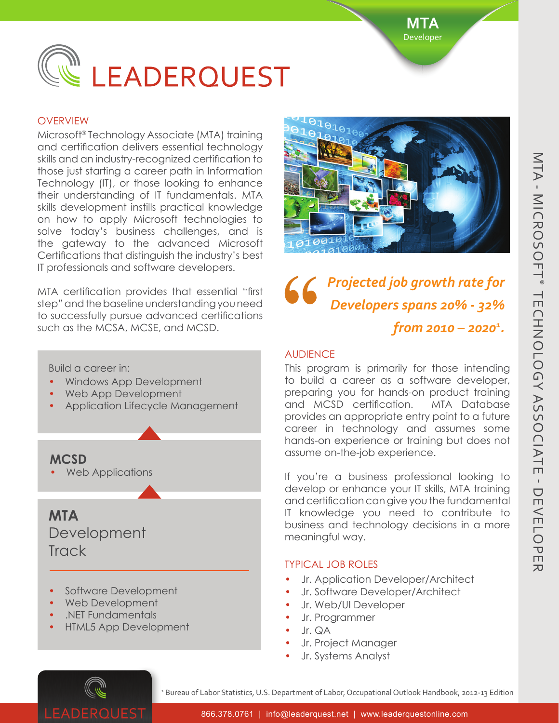**MTA** Developer



#### **OVERVIEW**

Microsoft® Technology Associate (MTA) training and certification delivers essential technology skills and an industry-recognized certification to those just starting a career path in Information Technology (IT), or those looking to enhance their understanding of IT fundamentals. MTA skills development instills practical knowledge on how to apply Microsoft technologies to solve today's business challenges, and is the gateway to the advanced Microsoft Certifications that distinguish the industry's best IT professionals and software developers.

MTA certification provides that essential "first step" and the baseline understanding you need to successfully pursue advanced certifications such as the MCSA, MCSE, and MCSD.

Build a career in:

- Windows App Development
- Web App Development
- Application Lifecycle Management

**MCSD**

• Web Applications

# **MTA Development Track**

- Software Development
- Web Development
- .NET Fundamentals
- HTML5 App Development



*Projected job growth rate for Developers spans 20% - 32% from 2010 – 20201 .*

### **AUDIFNCF**

This program is primarily for those intending to build a career as a software developer, preparing you for hands-on product training and MCSD certification. MTA Database provides an appropriate entry point to a future career in technology and assumes some hands-on experience or training but does not assume on-the-job experience.

If you're a business professional looking to develop or enhance your IT skills, MTA training and certification can give you the fundamental IT knowledge you need to contribute to business and technology decisions in a more meaningful way.

## Typical Job Roles

- Jr. Application Developer/Architect
- Jr. Software Developer/Architect
- Jr. Web/UI Developer
- Jr. Programmer
- Jr. QA
- Jr. Project Manager
- Jr. Systems Analyst